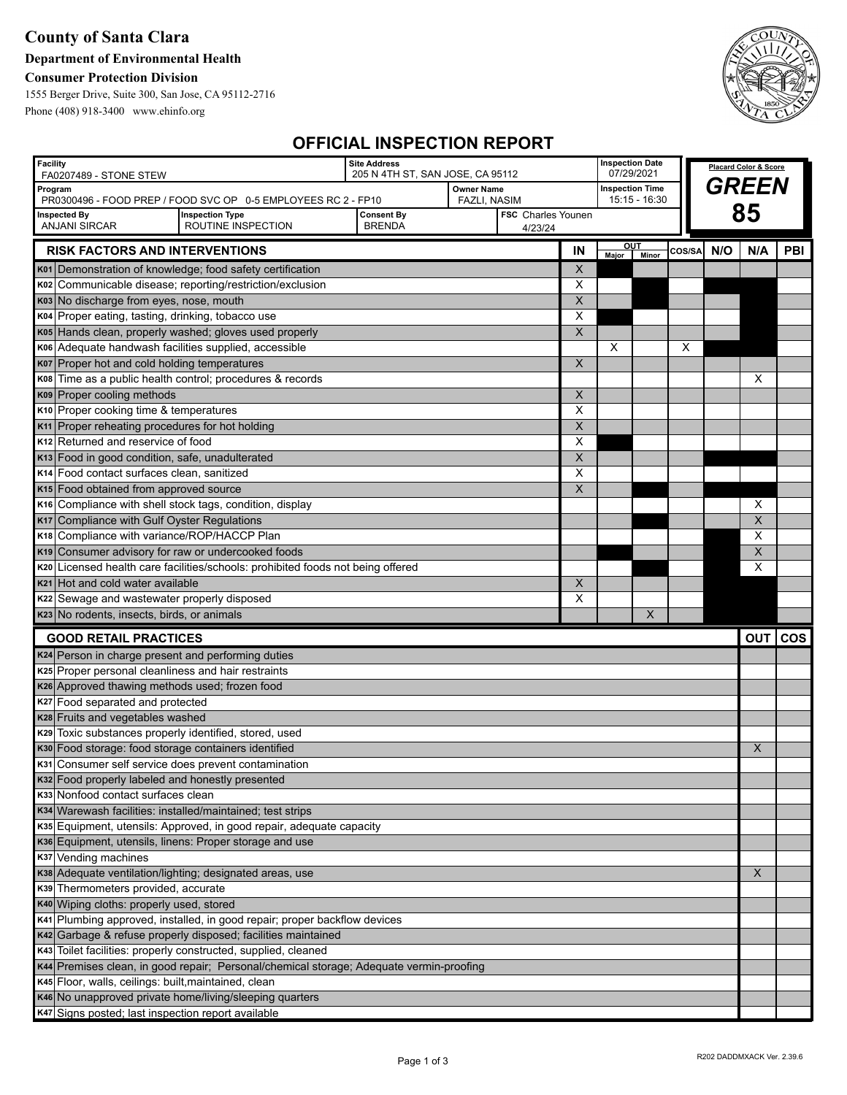### **County of Santa Clara**

### **Department of Environmental Health**

### **Consumer Protection Division**

1555 Berger Drive, Suite 300, San Jose, CA 95112-2716 Phone (408) 918-3400 www.ehinfo.org



## **OFFICIAL INSPECTION REPORT**

| <b>Facility</b><br>FA0207489 - STONE STEW                                               |                                                                                                                                                                                   | <b>Site Address</b><br>205 N 4TH ST, SAN JOSE, CA 95112 |  |  | <b>Inspection Date</b><br>07/29/2021 |                            |              | <b>Placard Color &amp; Score</b> |     |     |         |
|-----------------------------------------------------------------------------------------|-----------------------------------------------------------------------------------------------------------------------------------------------------------------------------------|---------------------------------------------------------|--|--|--------------------------------------|----------------------------|--------------|----------------------------------|-----|-----|---------|
| Program                                                                                 |                                                                                                                                                                                   | Owner Name                                              |  |  | <b>Inspection Time</b>               |                            |              | GREEN                            |     |     |         |
| <b>Inspected By</b>                                                                     | PR0300496 - FOOD PREP / FOOD SVC OP 0-5 EMPLOYEES RC 2 - FP10<br><b>FAZLI, NASIM</b><br>15:15 - 16:30<br><b>Consent By</b><br><b>FSC</b> Charles Younen<br><b>Inspection Type</b> |                                                         |  |  | 85                                   |                            |              |                                  |     |     |         |
| <b>ANJANI SIRCAR</b>                                                                    | <b>BRENDA</b><br>ROUTINE INSPECTION<br>4/23/24                                                                                                                                    |                                                         |  |  |                                      |                            |              |                                  |     |     |         |
| <b>RISK FACTORS AND INTERVENTIONS</b>                                                   |                                                                                                                                                                                   |                                                         |  |  | IN                                   | <u>ou </u><br><b>Major</b> | <b>Minor</b> | COS/SA                           | N/O | N/A | PBI     |
|                                                                                         | K01 Demonstration of knowledge; food safety certification                                                                                                                         |                                                         |  |  | X                                    |                            |              |                                  |     |     |         |
| K02                                                                                     | Communicable disease; reporting/restriction/exclusion                                                                                                                             |                                                         |  |  | X                                    |                            |              |                                  |     |     |         |
| K03 No discharge from eyes, nose, mouth                                                 |                                                                                                                                                                                   |                                                         |  |  | X                                    |                            |              |                                  |     |     |         |
| K04 Proper eating, tasting, drinking, tobacco use                                       |                                                                                                                                                                                   |                                                         |  |  | Х                                    |                            |              |                                  |     |     |         |
| K05                                                                                     | Hands clean, properly washed; gloves used properly                                                                                                                                |                                                         |  |  | $\pmb{\times}$                       |                            |              |                                  |     |     |         |
| K06                                                                                     | Adequate handwash facilities supplied, accessible                                                                                                                                 |                                                         |  |  |                                      | X                          |              | X                                |     |     |         |
| K07 Proper hot and cold holding temperatures                                            |                                                                                                                                                                                   |                                                         |  |  | $\overline{X}$                       |                            |              |                                  |     |     |         |
|                                                                                         | K08 Time as a public health control; procedures & records                                                                                                                         |                                                         |  |  |                                      |                            |              |                                  |     | Х   |         |
| K09 Proper cooling methods                                                              |                                                                                                                                                                                   |                                                         |  |  | X                                    |                            |              |                                  |     |     |         |
| K10 Proper cooking time & temperatures                                                  |                                                                                                                                                                                   |                                                         |  |  | Х                                    |                            |              |                                  |     |     |         |
| K11 Proper reheating procedures for hot holding                                         |                                                                                                                                                                                   |                                                         |  |  | X                                    |                            |              |                                  |     |     |         |
| K <sub>12</sub> Returned and reservice of food                                          |                                                                                                                                                                                   |                                                         |  |  | X                                    |                            |              |                                  |     |     |         |
| K13 Food in good condition, safe, unadulterated                                         |                                                                                                                                                                                   |                                                         |  |  | X                                    |                            |              |                                  |     |     |         |
| Food contact surfaces clean, sanitized<br>K14                                           |                                                                                                                                                                                   |                                                         |  |  | X                                    |                            |              |                                  |     |     |         |
| K15 Food obtained from approved source                                                  |                                                                                                                                                                                   |                                                         |  |  | $\times$                             |                            |              |                                  |     |     |         |
|                                                                                         | K16 Compliance with shell stock tags, condition, display                                                                                                                          |                                                         |  |  |                                      |                            |              |                                  |     | Х   |         |
| K17 Compliance with Gulf Oyster Regulations                                             |                                                                                                                                                                                   |                                                         |  |  |                                      |                            |              |                                  |     | X   |         |
| K18 Compliance with variance/ROP/HACCP Plan                                             |                                                                                                                                                                                   |                                                         |  |  |                                      |                            |              |                                  |     | X   |         |
| K19 Consumer advisory for raw or undercooked foods                                      |                                                                                                                                                                                   |                                                         |  |  |                                      |                            |              |                                  |     | X   |         |
|                                                                                         | K20 Licensed health care facilities/schools: prohibited foods not being offered                                                                                                   |                                                         |  |  |                                      |                            |              |                                  |     | X   |         |
| K21 Hot and cold water available                                                        |                                                                                                                                                                                   |                                                         |  |  | $\times$                             |                            |              |                                  |     |     |         |
| Sewage and wastewater properly disposed<br>K22                                          |                                                                                                                                                                                   |                                                         |  |  | X                                    |                            |              |                                  |     |     |         |
| K23 No rodents, insects, birds, or animals                                              |                                                                                                                                                                                   |                                                         |  |  |                                      |                            | X            |                                  |     |     |         |
| <b>GOOD RETAIL PRACTICES</b>                                                            |                                                                                                                                                                                   |                                                         |  |  |                                      |                            |              |                                  |     |     | OUT COS |
| K24 Person in charge present and performing duties                                      |                                                                                                                                                                                   |                                                         |  |  |                                      |                            |              |                                  |     |     |         |
| K <sub>25</sub> Proper personal cleanliness and hair restraints                         |                                                                                                                                                                                   |                                                         |  |  |                                      |                            |              |                                  |     |     |         |
| K26 Approved thawing methods used; frozen food                                          |                                                                                                                                                                                   |                                                         |  |  |                                      |                            |              |                                  |     |     |         |
|                                                                                         | K27 Food separated and protected                                                                                                                                                  |                                                         |  |  |                                      |                            |              |                                  |     |     |         |
| K28 Fruits and vegetables washed                                                        |                                                                                                                                                                                   |                                                         |  |  |                                      |                            |              |                                  |     |     |         |
| K29 Toxic substances properly identified, stored, used                                  |                                                                                                                                                                                   |                                                         |  |  |                                      |                            |              |                                  |     |     |         |
| K30 Food storage: food storage containers identified                                    |                                                                                                                                                                                   |                                                         |  |  | X                                    |                            |              |                                  |     |     |         |
| Consumer self service does prevent contamination<br>K31                                 |                                                                                                                                                                                   |                                                         |  |  |                                      |                            |              |                                  |     |     |         |
| K32 Food properly labeled and honestly presented                                        |                                                                                                                                                                                   |                                                         |  |  |                                      |                            |              |                                  |     |     |         |
| K33 Nonfood contact surfaces clean                                                      |                                                                                                                                                                                   |                                                         |  |  |                                      |                            |              |                                  |     |     |         |
| K34 Warewash facilities: installed/maintained; test strips                              |                                                                                                                                                                                   |                                                         |  |  |                                      |                            |              |                                  |     |     |         |
| K35 Equipment, utensils: Approved, in good repair, adequate capacity                    |                                                                                                                                                                                   |                                                         |  |  |                                      |                            |              |                                  |     |     |         |
| K36 Equipment, utensils, linens: Proper storage and use                                 |                                                                                                                                                                                   |                                                         |  |  |                                      |                            |              |                                  |     |     |         |
| K37 Vending machines                                                                    |                                                                                                                                                                                   |                                                         |  |  |                                      |                            |              |                                  |     |     |         |
| K38 Adequate ventilation/lighting; designated areas, use                                |                                                                                                                                                                                   |                                                         |  |  |                                      |                            | X            |                                  |     |     |         |
| K39 Thermometers provided, accurate                                                     |                                                                                                                                                                                   |                                                         |  |  |                                      |                            |              |                                  |     |     |         |
| K40 Wiping cloths: properly used, stored                                                |                                                                                                                                                                                   |                                                         |  |  |                                      |                            |              |                                  |     |     |         |
| K41 Plumbing approved, installed, in good repair; proper backflow devices               |                                                                                                                                                                                   |                                                         |  |  |                                      |                            |              |                                  |     |     |         |
| K42 Garbage & refuse properly disposed; facilities maintained                           |                                                                                                                                                                                   |                                                         |  |  |                                      |                            |              |                                  |     |     |         |
|                                                                                         | K43 Toilet facilities: properly constructed, supplied, cleaned                                                                                                                    |                                                         |  |  |                                      |                            |              |                                  |     |     |         |
| K44 Premises clean, in good repair; Personal/chemical storage; Adequate vermin-proofing |                                                                                                                                                                                   |                                                         |  |  |                                      |                            |              |                                  |     |     |         |
| K45 Floor, walls, ceilings: built, maintained, clean                                    |                                                                                                                                                                                   |                                                         |  |  |                                      |                            |              |                                  |     |     |         |
| K46 No unapproved private home/living/sleeping quarters                                 |                                                                                                                                                                                   |                                                         |  |  |                                      |                            |              |                                  |     |     |         |
| K47 Signs posted; last inspection report available                                      |                                                                                                                                                                                   |                                                         |  |  |                                      |                            |              |                                  |     |     |         |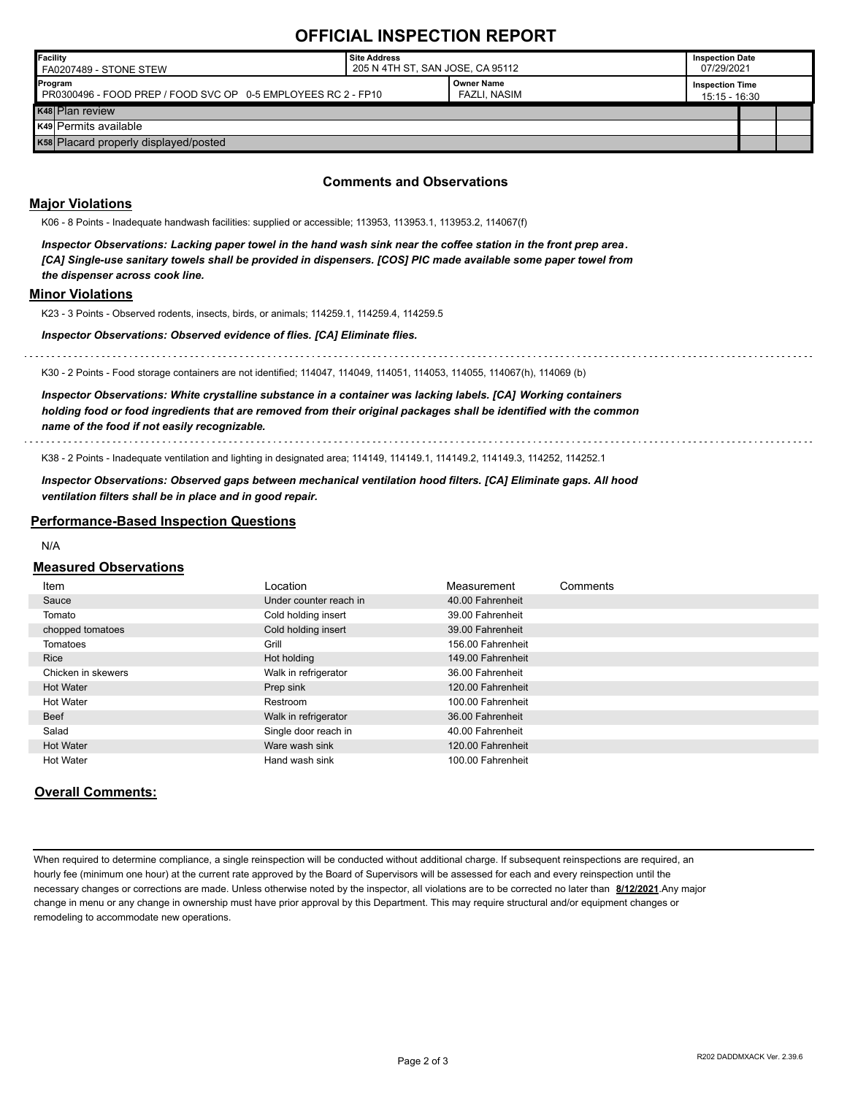### **OFFICIAL INSPECTION REPORT**

| <b>Facility</b><br>FA0207489 - STONE STEW                                | Site Address<br>205 N 4TH ST, SAN JOSE, CA 95112 |                                   |                                         | <b>Inspection Date</b><br>07/29/2021 |  |  |
|--------------------------------------------------------------------------|--------------------------------------------------|-----------------------------------|-----------------------------------------|--------------------------------------|--|--|
| Program<br>PR0300496 - FOOD PREP / FOOD SVC OP 0-5 EMPLOYEES RC 2 - FP10 |                                                  | <b>Owner Name</b><br>FAZLI. NASIM | <b>Inspection Time</b><br>15:15 - 16:30 |                                      |  |  |
| K48 Plan review                                                          |                                                  |                                   |                                         |                                      |  |  |
| K49 Permits available                                                    |                                                  |                                   |                                         |                                      |  |  |
| K58 Placard properly displayed/posted                                    |                                                  |                                   |                                         |                                      |  |  |

#### **Comments and Observations**

#### **Major Violations**

K06 - 8 Points - Inadequate handwash facilities: supplied or accessible; 113953, 113953.1, 113953.2, 114067(f)

*Inspector Observations: Lacking paper towel in the hand wash sink near the coffee station in the front prep area. [CA] Single-use sanitary towels shall be provided in dispensers. [COS] PIC made available some paper towel from the dispenser across cook line.*

#### **Minor Violations**

K23 - 3 Points - Observed rodents, insects, birds, or animals; 114259.1, 114259.4, 114259.5

*Inspector Observations: Observed evidence of flies. [CA] Eliminate flies.*

K30 - 2 Points - Food storage containers are not identified; 114047, 114049, 114051, 114053, 114055, 114067(h), 114069 (b)

*Inspector Observations: White crystalline substance in a container was lacking labels. [CA] Working containers holding food or food ingredients that are removed from their original packages shall be identified with the common name of the food if not easily recognizable.*

K38 - 2 Points - Inadequate ventilation and lighting in designated area; 114149, 114149.1, 114149.2, 114149.3, 114252, 114252.1

*Inspector Observations: Observed gaps between mechanical ventilation hood filters. [CA] Eliminate gaps. All hood ventilation filters shall be in place and in good repair.*

#### **Performance-Based Inspection Questions**

N/A

#### **Measured Observations**

| <u>Item</u>        | Location               | Measurement       | Comments |
|--------------------|------------------------|-------------------|----------|
| Sauce              | Under counter reach in | 40.00 Fahrenheit  |          |
| Tomato             | Cold holding insert    | 39.00 Fahrenheit  |          |
| chopped tomatoes   | Cold holding insert    | 39.00 Fahrenheit  |          |
| Tomatoes           | Grill                  | 156.00 Fahrenheit |          |
| <b>Rice</b>        | Hot holding            | 149.00 Fahrenheit |          |
| Chicken in skewers | Walk in refrigerator   | 36.00 Fahrenheit  |          |
| <b>Hot Water</b>   | Prep sink              | 120.00 Fahrenheit |          |
| <b>Hot Water</b>   | Restroom               | 100.00 Fahrenheit |          |
| Beef               | Walk in refrigerator   | 36.00 Fahrenheit  |          |
| Salad              | Single door reach in   | 40.00 Fahrenheit  |          |
| <b>Hot Water</b>   | Ware wash sink         | 120.00 Fahrenheit |          |
| <b>Hot Water</b>   | Hand wash sink         | 100.00 Fahrenheit |          |

#### **Overall Comments:**

When required to determine compliance, a single reinspection will be conducted without additional charge. If subsequent reinspections are required, an hourly fee (minimum one hour) at the current rate approved by the Board of Supervisors will be assessed for each and every reinspection until the necessary changes or corrections are made. Unless otherwise noted by the inspector, all violations are to be corrected no later than **8/12/2021**.Any major change in menu or any change in ownership must have prior approval by this Department. This may require structural and/or equipment changes or remodeling to accommodate new operations.